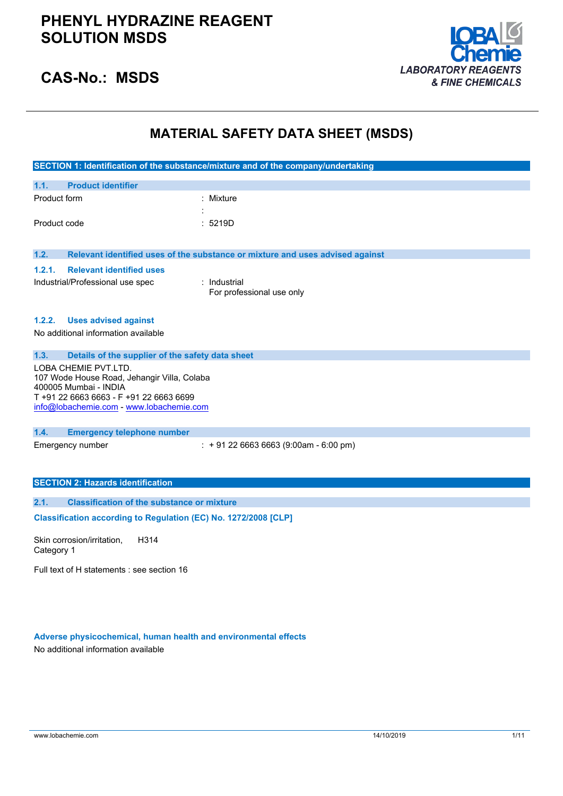

## **CAS-No.: MSDS**

## **MATERIAL SAFETY DATA SHEET (MSDS)**

|              |                                                                                                                                                                                     | SECTION 1: Identification of the substance/mixture and of the company/undertaking |
|--------------|-------------------------------------------------------------------------------------------------------------------------------------------------------------------------------------|-----------------------------------------------------------------------------------|
| 1.1.         | <b>Product identifier</b>                                                                                                                                                           |                                                                                   |
| Product form |                                                                                                                                                                                     | : Mixture                                                                         |
| Product code |                                                                                                                                                                                     | : 5219D                                                                           |
| 1.2.         |                                                                                                                                                                                     | Relevant identified uses of the substance or mixture and uses advised against     |
| 1.2.1.       | <b>Relevant identified uses</b><br>Industrial/Professional use spec                                                                                                                 | : Industrial<br>For professional use only                                         |
| 1.2.2.       | <b>Uses advised against</b>                                                                                                                                                         |                                                                                   |
|              | No additional information available                                                                                                                                                 |                                                                                   |
| 1.3.         | Details of the supplier of the safety data sheet                                                                                                                                    |                                                                                   |
|              | LOBA CHEMIE PVT.LTD.<br>107 Wode House Road, Jehangir Villa, Colaba<br>400005 Mumbai - INDIA<br>T +91 22 6663 6663 - F +91 22 6663 6699<br>info@lobachemie.com - www.lobachemie.com |                                                                                   |
| 1.4.         | <b>Emergency telephone number</b>                                                                                                                                                   |                                                                                   |
|              | Emergency number                                                                                                                                                                    | $: +912266636663(9:00am - 6:00 pm)$                                               |
|              | <b>SECTION 2: Hazards identification</b>                                                                                                                                            |                                                                                   |
| 2.1.         | <b>Classification of the substance or mixture</b>                                                                                                                                   |                                                                                   |
|              | Classification according to Regulation (EC) No. 1272/2008 [CLP]                                                                                                                     |                                                                                   |

Skin corrosion/irritation, Category 1 H314

Full text of H statements : see section 16

### **Adverse physicochemical, human health and environmental effects**

No additional information available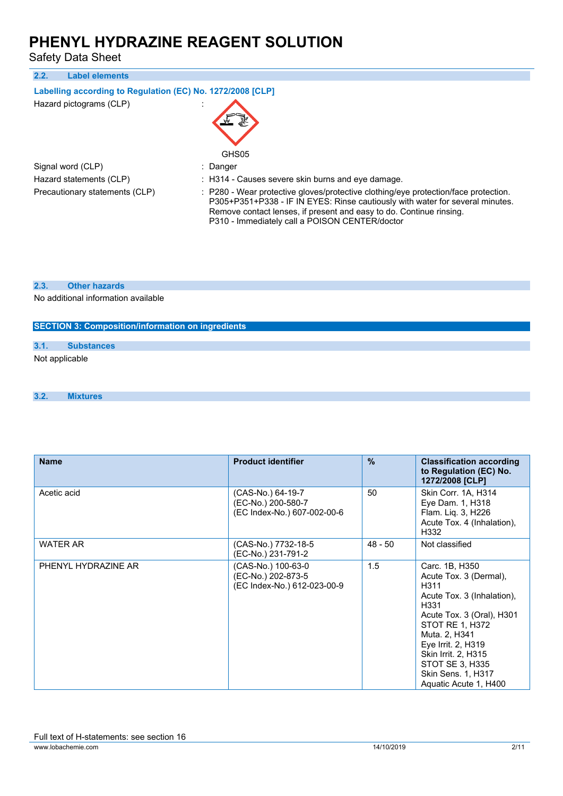Safety Data Sheet

| 2.2.<br><b>Label elements</b>                              |                                                                                                                                                                                                                                                                                               |
|------------------------------------------------------------|-----------------------------------------------------------------------------------------------------------------------------------------------------------------------------------------------------------------------------------------------------------------------------------------------|
| Labelling according to Regulation (EC) No. 1272/2008 [CLP] |                                                                                                                                                                                                                                                                                               |
| Hazard pictograms (CLP)                                    | GHS05                                                                                                                                                                                                                                                                                         |
| Signal word (CLP)                                          | : Danger                                                                                                                                                                                                                                                                                      |
| Hazard statements (CLP)                                    | : H314 - Causes severe skin burns and eye damage.                                                                                                                                                                                                                                             |
| Precautionary statements (CLP)                             | : P280 - Wear protective gloves/protective clothing/eye protection/face protection.<br>P305+P351+P338 - IF IN EYES: Rinse cautiously with water for several minutes.<br>Remove contact lenses, if present and easy to do. Continue rinsing.<br>P310 - Immediately call a POISON CENTER/doctor |
| <b>Other hazards</b><br>2.3.                               |                                                                                                                                                                                                                                                                                               |

No additional information available

### **SECTION 3: Composition/information on ingredients**

### **3.1. Substances**

Not applicable

```
3.2. Mixtures
```

| <b>Name</b>         | <b>Product identifier</b>                                               | $\frac{9}{6}$ | <b>Classification according</b><br>to Regulation (EC) No.<br>1272/2008 [CLP]                                                                                                                                                                                                  |
|---------------------|-------------------------------------------------------------------------|---------------|-------------------------------------------------------------------------------------------------------------------------------------------------------------------------------------------------------------------------------------------------------------------------------|
| Acetic acid         | (CAS-No.) 64-19-7<br>(EC-No.) 200-580-7<br>(EC Index-No.) 607-002-00-6  | 50            | Skin Corr. 1A, H314<br>Eye Dam. 1, H318<br>Flam. Liq. 3, H226<br>Acute Tox. 4 (Inhalation),<br>H332                                                                                                                                                                           |
| <b>WATER AR</b>     | (CAS-No.) 7732-18-5<br>(EC-No.) 231-791-2                               | $48 - 50$     | Not classified                                                                                                                                                                                                                                                                |
| PHENYL HYDRAZINE AR | (CAS-No.) 100-63-0<br>(EC-No.) 202-873-5<br>(EC Index-No.) 612-023-00-9 | 1.5           | Carc. 1B, H350<br>Acute Tox. 3 (Dermal),<br>H311<br>Acute Tox. 3 (Inhalation),<br>H331<br>Acute Tox. 3 (Oral), H301<br>STOT RE 1, H372<br>Muta. 2, H341<br>Eye Irrit. 2, H319<br><b>Skin Irrit. 2, H315</b><br>STOT SE 3, H335<br>Skin Sens. 1, H317<br>Aquatic Acute 1, H400 |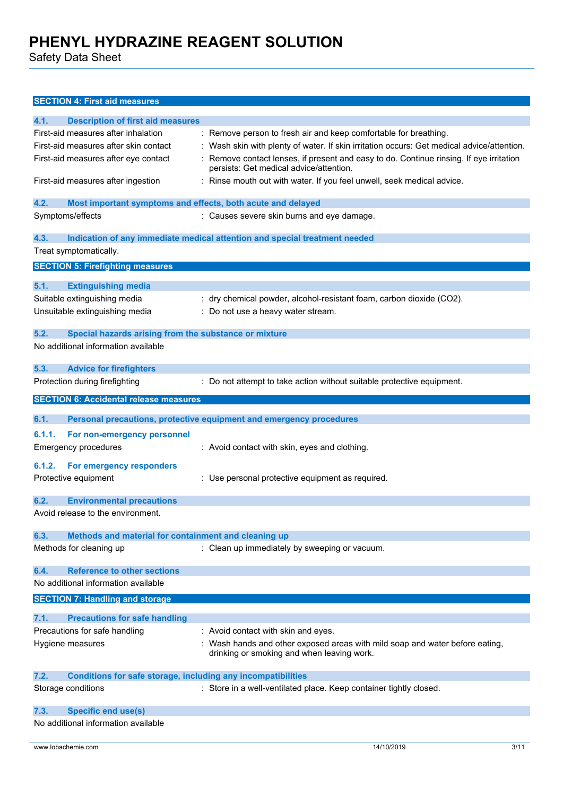Safety Data Sheet

### **SECTION 4: First aid measures**

| 4.1.   | <b>Description of first aid measures</b>                            |                                                                                            |
|--------|---------------------------------------------------------------------|--------------------------------------------------------------------------------------------|
|        | First-aid measures after inhalation                                 | : Remove person to fresh air and keep comfortable for breathing.                           |
|        | First-aid measures after skin contact                               | : Wash skin with plenty of water. If skin irritation occurs: Get medical advice/attention. |
|        | First-aid measures after eye contact                                | Remove contact lenses, if present and easy to do. Continue rinsing. If eye irritation      |
|        |                                                                     | persists: Get medical advice/attention.                                                    |
|        | First-aid measures after ingestion                                  | : Rinse mouth out with water. If you feel unwell, seek medical advice.                     |
|        |                                                                     |                                                                                            |
| 4.2.   | Most important symptoms and effects, both acute and delayed         |                                                                                            |
|        | Symptoms/effects                                                    | : Causes severe skin burns and eye damage.                                                 |
| 4.3.   |                                                                     |                                                                                            |
|        |                                                                     | Indication of any immediate medical attention and special treatment needed                 |
|        | Treat symptomatically.                                              |                                                                                            |
|        | <b>SECTION 5: Firefighting measures</b>                             |                                                                                            |
| 5.1.   | <b>Extinguishing media</b>                                          |                                                                                            |
|        | Suitable extinguishing media                                        | : dry chemical powder, alcohol-resistant foam, carbon dioxide (CO2).                       |
|        | Unsuitable extinguishing media                                      | : Do not use a heavy water stream.                                                         |
|        |                                                                     |                                                                                            |
| 5.2.   | Special hazards arising from the substance or mixture               |                                                                                            |
|        | No additional information available                                 |                                                                                            |
|        |                                                                     |                                                                                            |
| 5.3.   | <b>Advice for firefighters</b>                                      |                                                                                            |
|        | Protection during firefighting                                      | : Do not attempt to take action without suitable protective equipment.                     |
|        | <b>SECTION 6: Accidental release measures</b>                       |                                                                                            |
|        |                                                                     |                                                                                            |
| 6.1.   |                                                                     | Personal precautions, protective equipment and emergency procedures                        |
|        |                                                                     |                                                                                            |
| 6.1.1. | For non-emergency personnel                                         |                                                                                            |
|        | <b>Emergency procedures</b>                                         | : Avoid contact with skin, eyes and clothing.                                              |
|        |                                                                     |                                                                                            |
| 6.1.2. | For emergency responders                                            |                                                                                            |
|        | Protective equipment                                                | : Use personal protective equipment as required.                                           |
| 6.2.   |                                                                     |                                                                                            |
|        | <b>Environmental precautions</b>                                    |                                                                                            |
|        | Avoid release to the environment.                                   |                                                                                            |
| 6.3.   | Methods and material for containment and cleaning up                |                                                                                            |
|        | Methods for cleaning up                                             | : Clean up immediately by sweeping or vacuum.                                              |
|        |                                                                     |                                                                                            |
| 6.4.   | <b>Reference to other sections</b>                                  |                                                                                            |
|        | No additional information available                                 |                                                                                            |
|        | <b>SECTION 7: Handling and storage</b>                              |                                                                                            |
|        |                                                                     |                                                                                            |
| 7.1.   | <b>Precautions for safe handling</b>                                |                                                                                            |
|        | Precautions for safe handling                                       | : Avoid contact with skin and eyes.                                                        |
|        | Hygiene measures                                                    | : Wash hands and other exposed areas with mild soap and water before eating,               |
|        |                                                                     | drinking or smoking and when leaving work.                                                 |
| 7.2.   | <b>Conditions for safe storage, including any incompatibilities</b> |                                                                                            |
|        | Storage conditions                                                  | : Store in a well-ventilated place. Keep container tightly closed.                         |
|        |                                                                     |                                                                                            |
| 7.3.   | <b>Specific end use(s)</b><br>No additional information available   |                                                                                            |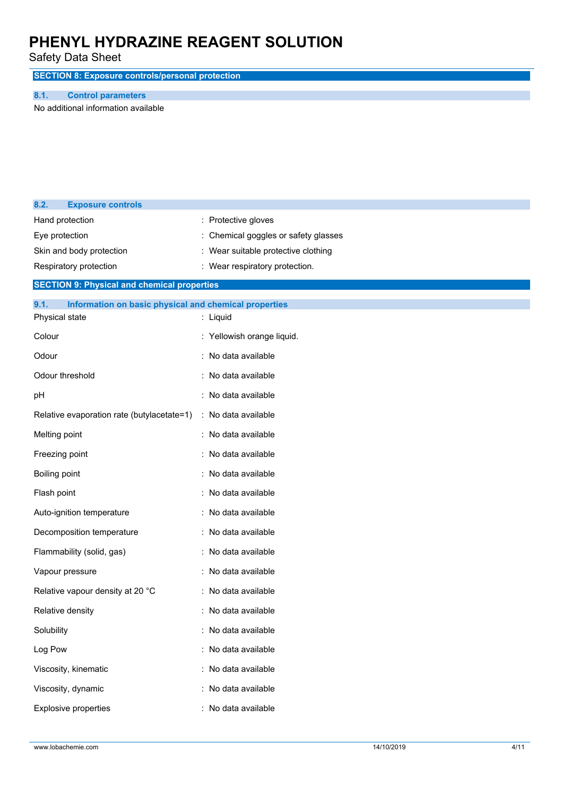Safety Data Sheet

**SECTION 8: Exposure controls/personal protection**

#### **8.1. Control parameters**

No additional information available

| 8.2.                             | <b>Exposure controls</b>                              |                                    |
|----------------------------------|-------------------------------------------------------|------------------------------------|
|                                  | Hand protection                                       | : Protective gloves                |
| Eye protection                   |                                                       | Chemical goggles or safety glasses |
| Skin and body protection         |                                                       | Wear suitable protective clothing  |
| Respiratory protection           |                                                       | : Wear respiratory protection.     |
|                                  | <b>SECTION 9: Physical and chemical properties</b>    |                                    |
| 9.1.                             | Information on basic physical and chemical properties |                                    |
|                                  | Physical state                                        | : Liquid                           |
| Colour                           |                                                       | : Yellowish orange liquid.         |
| Odour                            |                                                       | : No data available                |
|                                  | Odour threshold                                       | : No data available                |
| pH                               |                                                       | : No data available                |
|                                  | Relative evaporation rate (butylacetate=1)            | : No data available                |
| Melting point                    |                                                       | : No data available                |
|                                  | Freezing point                                        | : No data available                |
| Boiling point                    |                                                       | : No data available                |
| Flash point                      |                                                       | : No data available                |
|                                  | Auto-ignition temperature                             | : No data available                |
|                                  | Decomposition temperature                             | : No data available                |
|                                  | Flammability (solid, gas)                             | : No data available                |
|                                  | Vapour pressure                                       | : No data available                |
| Relative vapour density at 20 °C |                                                       | : No data available                |
|                                  | Relative density                                      | : No data available                |
| Solubility                       |                                                       | : No data available                |
| Log Pow                          |                                                       | : No data available                |
|                                  | Viscosity, kinematic                                  | : No data available                |
|                                  | Viscosity, dynamic                                    | : No data available                |
| Explosive properties             |                                                       | : No data available                |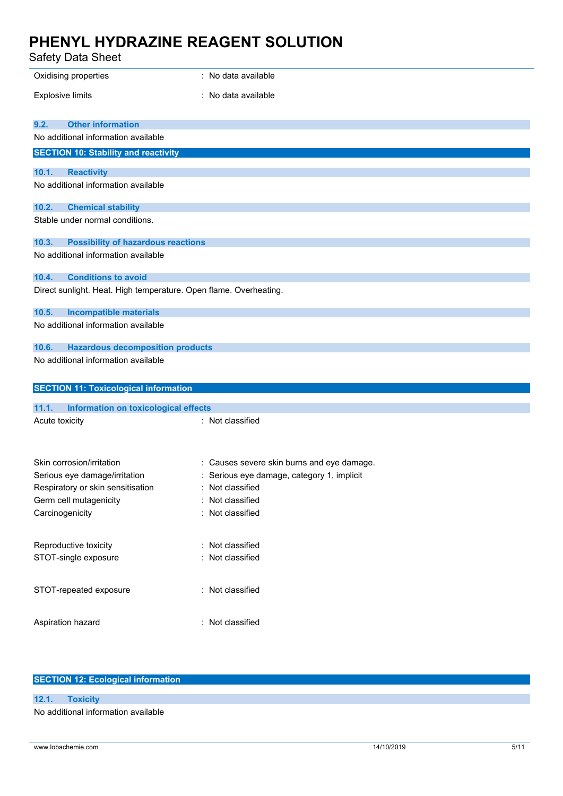Safety Data Sheet

| oaioty bata orioot                                                    |                                            |
|-----------------------------------------------------------------------|--------------------------------------------|
| Oxidising properties                                                  | : No data available                        |
| <b>Explosive limits</b>                                               | : No data available                        |
|                                                                       |                                            |
| <b>Other information</b><br>9.2.                                      |                                            |
| No additional information available                                   |                                            |
| <b>SECTION 10: Stability and reactivity</b>                           |                                            |
| 10.1.<br><b>Reactivity</b>                                            |                                            |
| No additional information available                                   |                                            |
|                                                                       |                                            |
| 10.2.<br><b>Chemical stability</b><br>Stable under normal conditions. |                                            |
|                                                                       |                                            |
| 10.3.<br><b>Possibility of hazardous reactions</b>                    |                                            |
| No additional information available                                   |                                            |
| <b>Conditions to avoid</b><br>10.4.                                   |                                            |
| Direct sunlight. Heat. High temperature. Open flame. Overheating.     |                                            |
|                                                                       |                                            |
| 10.5.<br><b>Incompatible materials</b>                                |                                            |
| No additional information available                                   |                                            |
| 10.6.<br><b>Hazardous decomposition products</b>                      |                                            |
| No additional information available                                   |                                            |
|                                                                       |                                            |
| <b>SECTION 11: Toxicological information</b>                          |                                            |
| 11.1.<br><b>Information on toxicological effects</b>                  |                                            |
| Acute toxicity                                                        | : Not classified                           |
|                                                                       |                                            |
|                                                                       |                                            |
| Skin corrosion/irritation                                             | : Causes severe skin burns and eye damage. |
| Serious eye damage/irritation                                         | : Serious eye damage, category 1, implicit |
| Respiratory or skin sensitisation                                     | Not classified                             |
| Germ cell mutagenicity                                                | Not classified                             |
| Carcinogenicity                                                       | : Not classified                           |
|                                                                       |                                            |
| Reproductive toxicity                                                 | : Not classified                           |
| STOT-single exposure                                                  | : Not classified                           |
|                                                                       |                                            |
| STOT-repeated exposure                                                | : Not classified                           |
|                                                                       |                                            |
|                                                                       |                                            |
| Aspiration hazard                                                     | : Not classified                           |
|                                                                       |                                            |

### **SECTION 12: Ecological information**

**12.1. Toxicity** No additional information available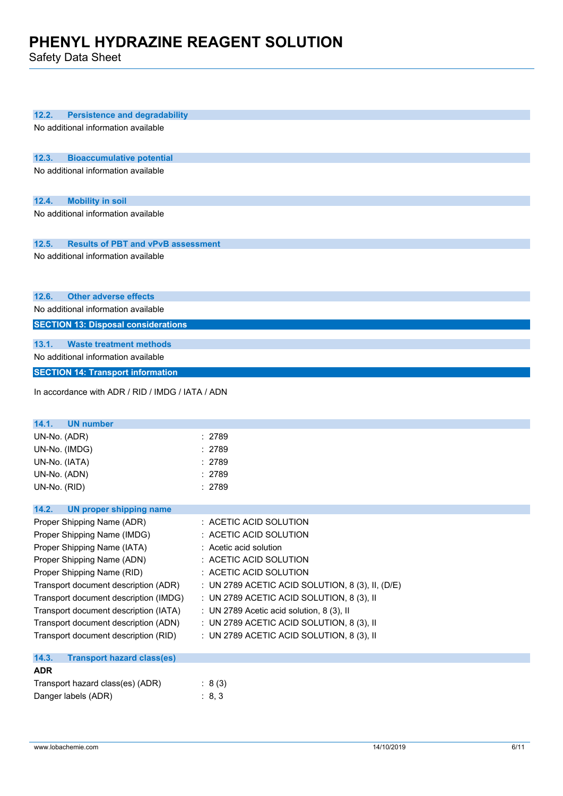Safety Data Sheet

| 12.2.<br><b>Persistence and degradability</b>      |                                                       |
|----------------------------------------------------|-------------------------------------------------------|
| No additional information available                |                                                       |
|                                                    |                                                       |
|                                                    |                                                       |
| 12.3.<br><b>Bioaccumulative potential</b>          |                                                       |
| No additional information available                |                                                       |
|                                                    |                                                       |
| 12.4.                                              |                                                       |
| <b>Mobility in soil</b>                            |                                                       |
| No additional information available                |                                                       |
|                                                    |                                                       |
| <b>Results of PBT and vPvB assessment</b><br>12.5. |                                                       |
| No additional information available                |                                                       |
|                                                    |                                                       |
|                                                    |                                                       |
|                                                    |                                                       |
| <b>Other adverse effects</b><br>12.6.              |                                                       |
| No additional information available                |                                                       |
| <b>SECTION 13: Disposal considerations</b>         |                                                       |
| <b>Waste treatment methods</b>                     |                                                       |
| 13.1.                                              |                                                       |
| No additional information available                |                                                       |
| <b>SECTION 14: Transport information</b>           |                                                       |
| In accordance with ADR / RID / IMDG / IATA / ADN   |                                                       |
|                                                    |                                                       |
|                                                    |                                                       |
| 14.1.<br><b>UN number</b>                          |                                                       |
| UN-No. (ADR)                                       | : 2789                                                |
| UN-No. (IMDG)                                      | : 2789                                                |
| UN-No. (IATA)                                      | : 2789                                                |
| UN-No. (ADN)                                       | : 2789                                                |
|                                                    | : 2789                                                |
| UN-No. (RID)                                       |                                                       |
| 14.2.<br><b>UN proper shipping name</b>            |                                                       |
| Proper Shipping Name (ADR)                         | : ACETIC ACID SOLUTION                                |
| Proper Shipping Name (IMDG)                        | : ACETIC ACID SOLUTION                                |
|                                                    |                                                       |
| Proper Shipping Name (IATA)                        | : Acetic acid solution                                |
| Proper Shipping Name (ADN)                         | : ACETIC ACID SOLUTION                                |
| Proper Shipping Name (RID)                         | : ACETIC ACID SOLUTION                                |
| Transport document description (ADR)               | : UN 2789 ACETIC ACID SOLUTION, 8 $(3)$ , II, $(D/E)$ |
| Transport document description (IMDG)              | : UN 2789 ACETIC ACID SOLUTION, 8 (3), II             |
| Transport document description (IATA)              | : UN 2789 Acetic acid solution, 8 (3), II             |
| Transport document description (ADN)               | : UN 2789 ACETIC ACID SOLUTION, 8 (3), II             |
| Transport document description (RID)               | : UN 2789 ACETIC ACID SOLUTION, 8 (3), II             |
|                                                    |                                                       |
| 14.3.<br><b>Transport hazard class(es)</b>         |                                                       |
| <b>ADR</b>                                         |                                                       |
| Transport hazard class(es) (ADR)                   | : $8(3)$                                              |
| Danger labels (ADR)                                | : 8, 3                                                |
|                                                    |                                                       |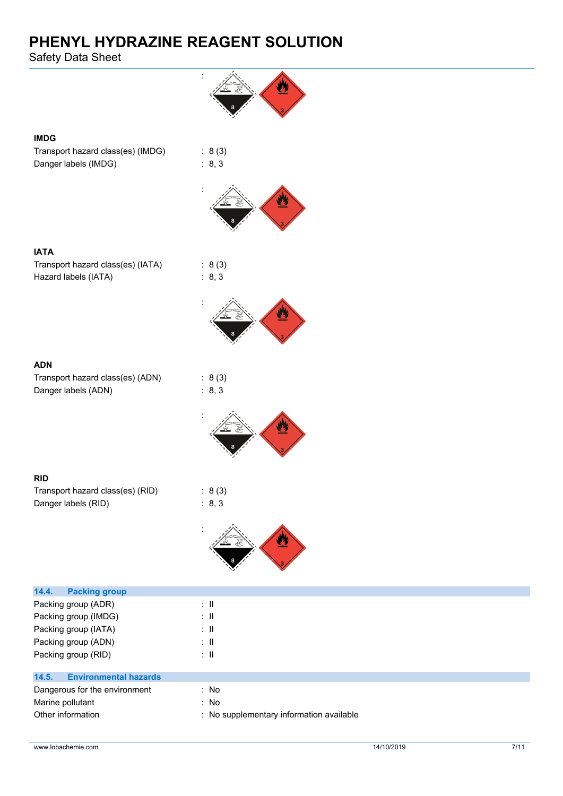Safety Data Sheet



Other information **contact to the contact of the contact of the contact of the contact of the contact of the contact of the contact of the contact of the contact of the contact of the contact of the contact of the contact**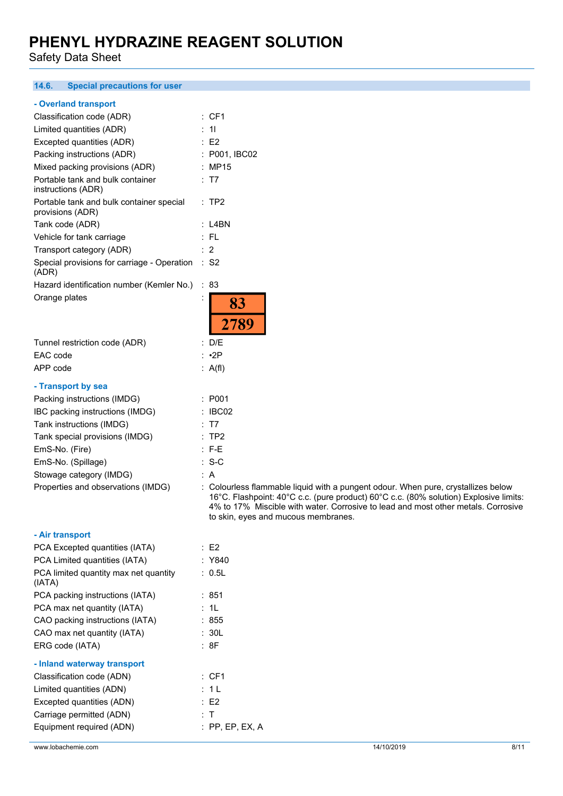Safety Data Sheet

#### **14.6. Special precautions for user**

|  |  | - Overland transport |  |
|--|--|----------------------|--|
|--|--|----------------------|--|

| Classification code (ADR)                                    | : CF1                                                                                                                                                                     |
|--------------------------------------------------------------|---------------------------------------------------------------------------------------------------------------------------------------------------------------------------|
|                                                              |                                                                                                                                                                           |
| Limited quantities (ADR)                                     | : 11                                                                                                                                                                      |
| Excepted quantities (ADR)                                    | $\therefore$ E2                                                                                                                                                           |
| Packing instructions (ADR)                                   | : P001, IBC02                                                                                                                                                             |
| Mixed packing provisions (ADR)                               | : MP15                                                                                                                                                                    |
| Portable tank and bulk container<br>instructions (ADR)       | : T7                                                                                                                                                                      |
| Portable tank and bulk container special<br>provisions (ADR) | :TP2                                                                                                                                                                      |
| Tank code (ADR)                                              | $:$ L4BN                                                                                                                                                                  |
| Vehicle for tank carriage                                    | : FL                                                                                                                                                                      |
| Transport category (ADR)                                     | : 2                                                                                                                                                                       |
| Special provisions for carriage - Operation<br>(ADR)         | $\therefore$ S2                                                                                                                                                           |
| Hazard identification number (Kemler No.)                    | : 83                                                                                                                                                                      |
| Orange plates                                                | 83<br>2789                                                                                                                                                                |
| Tunnel restriction code (ADR)                                | : D/E                                                                                                                                                                     |
| EAC code                                                     | $: \cdot$ 2P                                                                                                                                                              |
| APP code                                                     | : A(f)                                                                                                                                                                    |
| - Transport by sea                                           |                                                                                                                                                                           |
| Packing instructions (IMDG)                                  | : P <sub>001</sub>                                                                                                                                                        |
| IBC packing instructions (IMDG)                              | : IBCO2                                                                                                                                                                   |
| Tank instructions (IMDG)                                     | : T7                                                                                                                                                                      |
| Tank special provisions (IMDG)                               | :TP2                                                                                                                                                                      |
| EmS-No. (Fire)                                               | $: F-E$                                                                                                                                                                   |
| EmS-No. (Spillage)                                           | $: S-C$                                                                                                                                                                   |
| Stowage category (IMDG)                                      | : A                                                                                                                                                                       |
| Properties and observations (IMDG)                           | : Colourless flammable liquid with a pungent odour. When pure, crystallizes below<br>16°C. Flashpoint: 40°C c.c. (pure product) 60°C c.c. (80% solution) Explosive limits |

| - Air transport |
|-----------------|
|-----------------|

| PCA Excepted quantities (IATA)                  | : E2            |
|-------------------------------------------------|-----------------|
| PCA Limited quantities (IATA)                   | : Y840          |
| PCA limited quantity max net quantity<br>(IATA) | : 0.5L          |
| PCA packing instructions (IATA)                 | :851            |
| PCA max net quantity (IATA)                     | : 1L            |
| CAO packing instructions (IATA)                 | : 855           |
| CAO max net quantity (IATA)                     | : 30L           |
| ERG code (IATA)                                 | : 8F            |
| - Inland waterway transport                     |                 |
| Classification code (ADN)                       | : CF1           |
| Limited quantities (ADN)                        | : 1 L           |
| Excepted quantities (ADN)                       | : E2            |
| Carriage permitted (ADN)                        | : T             |
| Equipment required (ADN)                        | : PP. EP. EX. A |
|                                                 |                 |

4% to 17% Miscible with water. Corrosive to lead and most other metals. Corrosive

to skin, eyes and mucous membranes.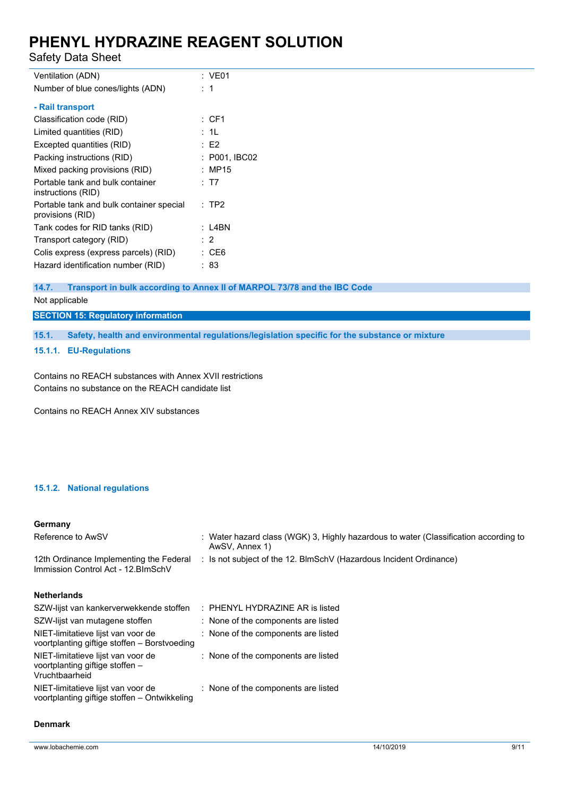Safety Data Sheet

| Ventilation (ADN)                                            | : VE01         |
|--------------------------------------------------------------|----------------|
| Number of blue cones/lights (ADN)                            | :1             |
| - Rail transport                                             |                |
| Classification code (RID)                                    | : CF1          |
| Limited quantities (RID)                                     | : 1L           |
| Excepted quantities (RID)                                    | $E$ F2         |
| Packing instructions (RID)                                   | : P001. IBC02  |
| Mixed packing provisions (RID)                               | : MP15         |
| Portable tank and bulk container<br>instructions (RID)       | : T7           |
| Portable tank and bulk container special<br>provisions (RID) | : TP2          |
| Tank codes for RID tanks (RID)                               | : L4BN         |
| Transport category (RID)                                     | $\therefore$ 2 |
| Colis express (express parcels) (RID)                        | : CE6          |
| Hazard identification number (RID)                           | : 83           |
|                                                              |                |

#### **14.7. Transport in bulk according to Annex II of MARPOL 73/78 and the IBC Code**

Not applicable

### **SECTION 15: Regulatory information**

**15.1. Safety, health and environmental regulations/legislation specific for the substance or mixture**

#### **15.1.1. EU-Regulations**

Contains no REACH substances with Annex XVII restrictions Contains no substance on the REACH candidate list

Contains no REACH Annex XIV substances

#### **15.1.2. National regulations**

### **Germany**

| Reference to AwSV                                                                       | : Water hazard class (WGK) 3, Highly hazardous to water (Classification according to<br>AwSV, Annex 1) |
|-----------------------------------------------------------------------------------------|--------------------------------------------------------------------------------------------------------|
| 12th Ordinance Implementing the Federal<br>Immission Control Act - 12. BlmSchV          | : Is not subject of the 12. BlmSchV (Hazardous Incident Ordinance)                                     |
| <b>Netherlands</b>                                                                      |                                                                                                        |
| SZW-lijst van kankerverwekkende stoffen                                                 | $\therefore$ PHENYL HYDRAZINE AR is listed                                                             |
| SZW-lijst van mutagene stoffen                                                          | : None of the components are listed                                                                    |
| NIET-limitatieve lijst van voor de<br>voortplanting giftige stoffen - Borstvoeding      | : None of the components are listed                                                                    |
| NIET-limitatieve lijst van voor de<br>voortplanting giftige stoffen –<br>Vruchtbaarheid | : None of the components are listed                                                                    |
| NIET-limitatieve lijst van voor de<br>voortplanting giftige stoffen – Ontwikkeling      | : None of the components are listed                                                                    |
|                                                                                         |                                                                                                        |

#### **Denmark**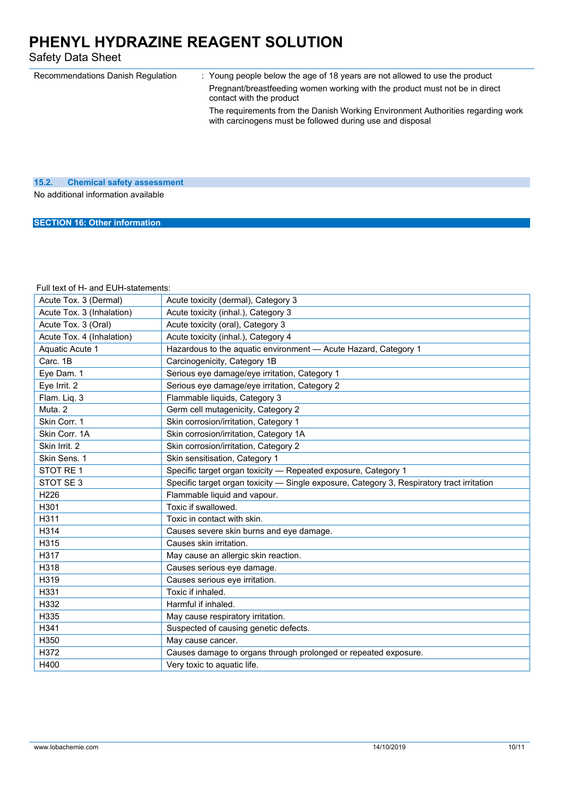Safety Data Sheet

| Recommendations Danish Regulation | Young people below the age of 18 years are not allowed to use the product                                                                    |
|-----------------------------------|----------------------------------------------------------------------------------------------------------------------------------------------|
|                                   | Pregnant/breastfeeding women working with the product must not be in direct<br>contact with the product                                      |
|                                   | The requirements from the Danish Working Environment Authorities regarding work<br>with carcinogens must be followed during use and disposal |
|                                   |                                                                                                                                              |

### **15.2. Chemical safety assessment** No additional information available

**SECTION 16: Other information**

#### Full text of H- and EUH-statements:

| Acute Tox. 3 (Dermal)     | Acute toxicity (dermal), Category 3                                                        |
|---------------------------|--------------------------------------------------------------------------------------------|
|                           |                                                                                            |
| Acute Tox. 3 (Inhalation) | Acute toxicity (inhal.), Category 3                                                        |
| Acute Tox. 3 (Oral)       | Acute toxicity (oral), Category 3                                                          |
| Acute Tox. 4 (Inhalation) | Acute toxicity (inhal.), Category 4                                                        |
| Aquatic Acute 1           | Hazardous to the aquatic environment - Acute Hazard, Category 1                            |
| Carc. 1B                  | Carcinogenicity, Category 1B                                                               |
| Eye Dam. 1                | Serious eye damage/eye irritation, Category 1                                              |
| Eye Irrit. 2              | Serious eye damage/eye irritation, Category 2                                              |
| Flam. Liq. 3              | Flammable liquids, Category 3                                                              |
| Muta. 2                   | Germ cell mutagenicity, Category 2                                                         |
| Skin Corr. 1              | Skin corrosion/irritation, Category 1                                                      |
| Skin Corr. 1A             | Skin corrosion/irritation, Category 1A                                                     |
| Skin Irrit. 2             | Skin corrosion/irritation, Category 2                                                      |
| Skin Sens. 1              | Skin sensitisation, Category 1                                                             |
| STOT RE 1                 | Specific target organ toxicity - Repeated exposure, Category 1                             |
| STOT SE <sub>3</sub>      | Specific target organ toxicity - Single exposure, Category 3, Respiratory tract irritation |
| H226                      | Flammable liquid and vapour.                                                               |
| H301                      | Toxic if swallowed.                                                                        |
| H311                      | Toxic in contact with skin.                                                                |
| H314                      | Causes severe skin burns and eye damage.                                                   |
| H315                      | Causes skin irritation.                                                                    |
| H317                      | May cause an allergic skin reaction.                                                       |
| H318                      | Causes serious eye damage.                                                                 |
| H319                      | Causes serious eye irritation.                                                             |
| H331                      | Toxic if inhaled.                                                                          |
| H332                      | Harmful if inhaled.                                                                        |
| H335                      | May cause respiratory irritation.                                                          |
| H341                      | Suspected of causing genetic defects.                                                      |
| H350                      | May cause cancer.                                                                          |
| H372                      | Causes damage to organs through prolonged or repeated exposure.                            |
| H400                      | Very toxic to aquatic life.                                                                |